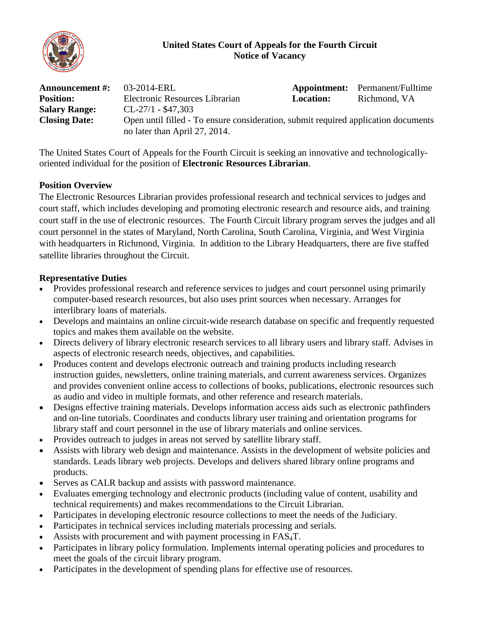

### **United States Court of Appeals for the Fourth Circuit Notice of Vacancy**

| <b>Announcement #:</b> | 03-2014-ERL                                                                        |                  | <b>Appointment:</b> Permanent/Fulltime |
|------------------------|------------------------------------------------------------------------------------|------------------|----------------------------------------|
| <b>Position:</b>       | Electronic Resources Librarian                                                     | <b>Location:</b> | Richmond, VA                           |
| <b>Salary Range:</b>   | $CL-27/1 - $47,303$                                                                |                  |                                        |
| <b>Closing Date:</b>   | Open until filled - To ensure consideration, submit required application documents |                  |                                        |
|                        | no later than April 27, 2014.                                                      |                  |                                        |

The United States Court of Appeals for the Fourth Circuit is seeking an innovative and technologicallyoriented individual for the position of **Electronic Resources Librarian**.

### **Position Overview**

The Electronic Resources Librarian provides professional research and technical services to judges and court staff, which includes developing and promoting electronic research and resource aids, and training court staff in the use of electronic resources. The Fourth Circuit library program serves the judges and all court personnel in the states of Maryland, North Carolina, South Carolina, Virginia, and West Virginia with headquarters in Richmond, Virginia. In addition to the Library Headquarters, there are five staffed satellite libraries throughout the Circuit.

### **Representative Duties**

- Provides professional research and reference services to judges and court personnel using primarily computer-based research resources, but also uses print sources when necessary. Arranges for interlibrary loans of materials.
- Develops and maintains an online circuit-wide research database on specific and frequently requested topics and makes them available on the website.
- Directs delivery of library electronic research services to all library users and library staff. Advises in aspects of electronic research needs, objectives, and capabilities.
- Produces content and develops electronic outreach and training products including research instruction guides, newsletters, online training materials, and current awareness services. Organizes and provides convenient online access to collections of books, publications, electronic resources such as audio and video in multiple formats, and other reference and research materials.
- Designs effective training materials. Develops information access aids such as electronic pathfinders and on-line tutorials. Coordinates and conducts library user training and orientation programs for library staff and court personnel in the use of library materials and online services.
- Provides outreach to judges in areas not served by satellite library staff.
- Assists with library web design and maintenance. Assists in the development of website policies and standards. Leads library web projects. Develops and delivers shared library online programs and products.
- Serves as CALR backup and assists with password maintenance.
- Evaluates emerging technology and electronic products (including value of content, usability and technical requirements) and makes recommendations to the Circuit Librarian.
- Participates in developing electronic resource collections to meet the needs of the Judiciary.
- Participates in technical services including materials processing and serials.
- Assists with procurement and with payment processing in FAS<sub>4</sub>T.
- Participates in library policy formulation. Implements internal operating policies and procedures to meet the goals of the circuit library program.
- Participates in the development of spending plans for effective use of resources.